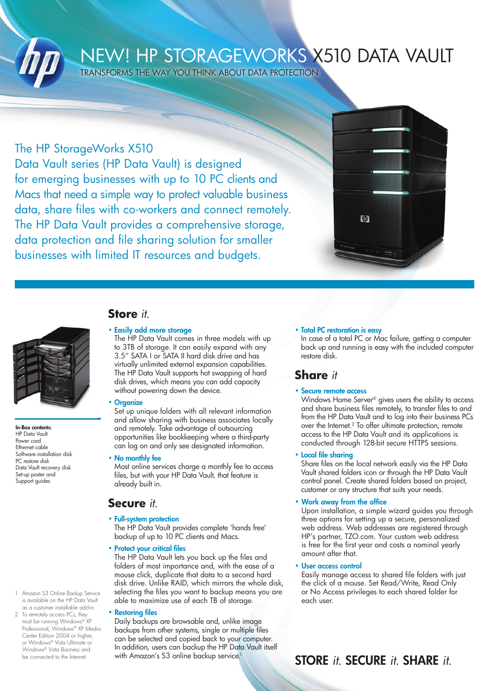

# NEW! HP STORAGEWORKS X510 DATA VAULT

Transforms the way you think about data protection

### The HP StorageWorks X510

Data Vault series (HP Data Vault) is designed for emerging businesses with up to 10 PC clients and Macs that need a simple way to protect valuable business data, share files with co-workers and connect remotely. The HP Data Vault provides a comprehensive storage, data protection and file sharing solution for smaller businesses with limited IT resources and budgets.





In-Box contents: HP Data Vault Power cord Ethernet cable Software installation disk PC restore disk Data Vault recovery disk Set-up poster and Support guides

### **Store** *it*.

#### • Easily add more storage

The HP Data Vault comes in three models with up to 3TB of storage. It can easily expand with any 3.5" SATA I or SATA II hard disk drive and has virtually unlimited external expansion capabilities. The HP Data Vault supports hot swapping of hard disk drives, which means you can add capacity without powering down the device.

### • Organize

Set up unique folders with all relevant information and allow sharing with business associates locally and remotely. Take advantage of outsourcing opportunities like bookkeeping where a third-party can log on and only see designated information.

#### • No monthly fee

Most online services charge a monthly fee to access files, but with your HP Data Vault, that feature is already built in.

### **Secure** *it*.

### • Full-system protection

The HP Data Vault provides complete 'hands free' backup of up to 10 PC clients and Macs.

• Protect your critical files

The HP Data Vault lets you back up the files and folders of most importance and, with the ease of a mouse click, duplicate that data to a second hard disk drive. Unlike RAID, which mirrors the whole disk, selecting the files you want to backup means you are able to maximize use of each TB of storage.

#### **Restoring files**

Daily backups are browsable and, unlike image backups from other systems, single or multiple files can be selected and copied back to your computer. In addition, users can backup the HP Data Vault itself with Amazon's S3 online backup service.<sup>1</sup>

#### • Total PC restoration is easy

In case of a total PC or Mac failure, getting a computer back up and running is easy with the included computer restore disk.

### **Share** *it*

### • Secure remote access

Windows Home Server® gives users the ability to access and share business files remotely, to transfer files to and from the HP Data Vault and to log into their business PCs over the Internet.2 To offer ultimate protection, remote access to the HP Data Vault and its applications is conducted through 128-bit secure HTTPS sessions.

### • Local file sharing

Share files on the local network easily via the HP Data Vault shared folders icon or through the HP Data Vault control panel. Create shared folders based on project, customer or any structure that suits your needs.

### • Work away from the office

Upon installation, a simple wizard guides you through three options for setting up a secure, personalized web address. Web addresses are registered through HP's partner, TZO.com. Your custom web address is free for the first year and costs a nominal yearly amount after that.

### • User access control

Easily manage access to shared file folders with just the click of a mouse. Set Read/Write, Read Only or No Access privileges to each shared folder for each user.

## STORE *it.* SECURE *it.* SHARE *it.*

#### 1 Amazon S3 Online Backup Service is available on the HP Data Vault as a customer installable add-in.

2 To remotely access PCs, they must be running Windows® XP Professional, Windows® XP Media Center Edition 2004 or higher. or Windows® Vista Ultimate or Windows® Vista Business and be connected to the Internet.